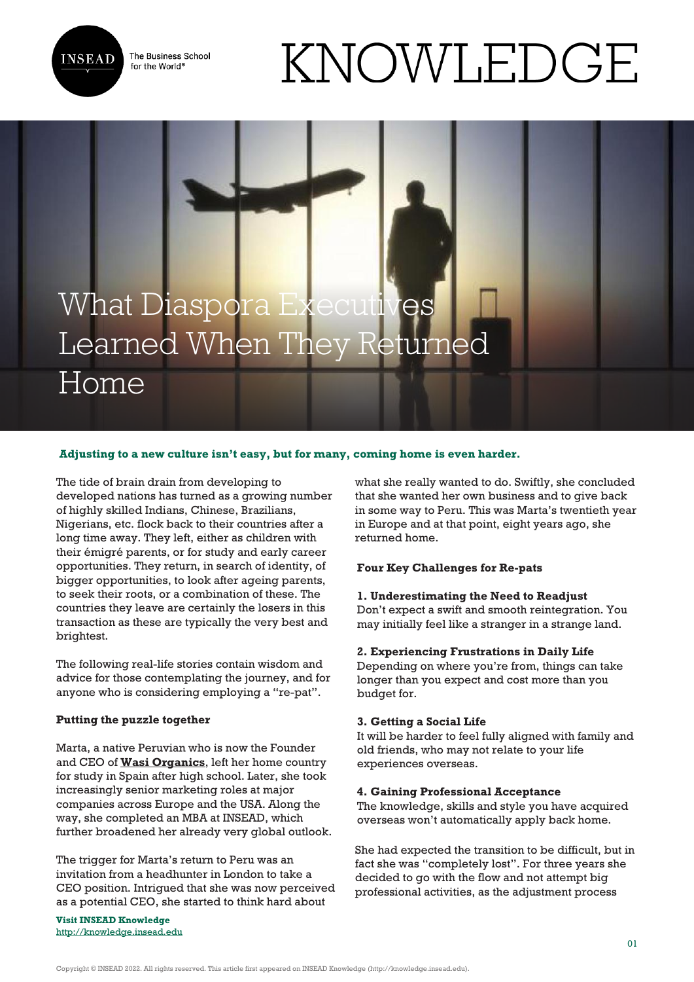The Business School for the World<sup>®</sup>



# KNOWLEDGE

# What Diaspora Executives Learned When They Returned Home

# **Adjusting to a new culture isn't easy, but for many, coming home is even harder.**

The tide of brain drain from developing to developed nations has turned as a growing number of highly skilled Indians, Chinese, Brazilians, Nigerians, etc. flock back to their countries after a long time away. They left, either as children with their émigré parents, or for study and early career opportunities. They return, in search of identity, of bigger opportunities, to look after ageing parents, to seek their roots, or a combination of these. The countries they leave are certainly the losers in this transaction as these are typically the very best and brightest.

The following real-life stories contain wisdom and advice for those contemplating the journey, and for anyone who is considering employing a "re-pat".

# **Putting the puzzle together**

Marta, a native Peruvian who is now the Founder and CEO of **[Wasi Organics](http://wasiorganics.com/en)**, left her home country for study in Spain after high school. Later, she took increasingly senior marketing roles at major companies across Europe and the USA. Along the way, she completed an MBA at INSEAD, which further broadened her already very global outlook.

The trigger for Marta's return to Peru was an invitation from a headhunter in London to take a CEO position. Intrigued that she was now perceived as a potential CEO, she started to think hard about

**Visit INSEAD Knowledge** <http://knowledge.insead.edu> what she really wanted to do. Swiftly, she concluded that she wanted her own business and to give back in some way to Peru. This was Marta's twentieth year in Europe and at that point, eight years ago, she returned home.

# **Four Key Challenges for Re-pats**

#### **1. Underestimating the Need to Readjust**

Don't expect a swift and smooth reintegration. You may initially feel like a stranger in a strange land.

#### **2. Experiencing Frustrations in Daily Life**

Depending on where you're from, things can take longer than you expect and cost more than you budget for.

#### **3. Getting a Social Life**

It will be harder to feel fully aligned with family and old friends, who may not relate to your life experiences overseas.

#### **4. Gaining Professional Acceptance**

The knowledge, skills and style you have acquired overseas won't automatically apply back home.

She had expected the transition to be difficult, but in fact she was "completely lost". For three years she decided to go with the flow and not attempt big professional activities, as the adjustment process

Copyright © INSEAD 2022. All rights reserved. This article first appeared on INSEAD Knowledge (http://knowledge.insead.edu).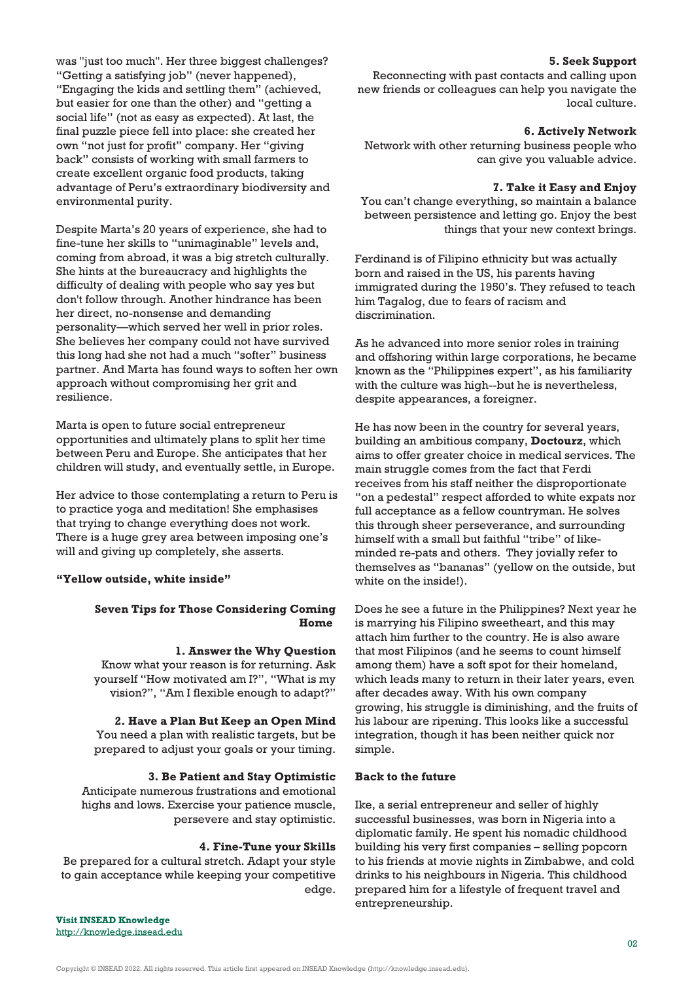was "just too much". Her three biggest challenges? "Getting a satisfying job" (never happened), "Engaging the kids and settling them" (achieved, but easier for one than the other) and "getting a social life" (not as easy as expected). At last, the final puzzle piece fell into place: she created her own "not just for profit" company. Her "giving back" consists of working with small farmers to create excellent organic food products, taking advantage of Peru's extraordinary biodiversity and environmental purity.

Despite Marta's 20 years of experience, she had to fine-tune her skills to "unimaginable" levels and, coming from abroad, it was a big stretch culturally. She hints at the bureaucracy and highlights the difficulty of dealing with people who say yes but don't follow through. Another hindrance has been her direct, no-nonsense and demanding personality—which served her well in prior roles. She believes her company could not have survived this long had she not had a much "softer" business partner. And Marta has found ways to soften her own approach without compromising her grit and resilience.

Marta is open to future social entrepreneur opportunities and ultimately plans to split her time between Peru and Europe. She anticipates that her children will study, and eventually settle, in Europe.

Her advice to those contemplating a return to Peru is to practice yoga and meditation! She emphasises that trying to change everything does not work. There is a huge grey area between imposing one's will and giving up completely, she asserts.

# **"Yellow outside, white inside"**

# **Seven Tips for Those Considering Coming Home**

# **1. Answer the Why Question**

Know what your reason is for returning. Ask yourself "How motivated am I?", "What is my vision?", "Am I flexible enough to adapt?"

**2. Have a Plan But Keep an Open Mind** You need a plan with realistic targets, but be prepared to adjust your goals or your timing.

**3. Be Patient and Stay Optimistic**

Anticipate numerous frustrations and emotional highs and lows. Exercise your patience muscle, persevere and stay optimistic.

# **4. Fine-Tune your Skills**

Be prepared for a cultural stretch. Adapt your style to gain acceptance while keeping your competitive edge.

**Visit INSEAD Knowledge** <http://knowledge.insead.edu>

#### **5. Seek Support**

Reconnecting with past contacts and calling upon new friends or colleagues can help you navigate the local culture.

#### **6. Actively Network**

Network with other returning business people who can give you valuable advice.

# **7. Take it Easy and Enjoy**

You can't change everything, so maintain a balance between persistence and letting go. Enjoy the best things that your new context brings.

Ferdinand is of Filipino ethnicity but was actually born and raised in the US, his parents having immigrated during the 1950's. They refused to teach him Tagalog, due to fears of racism and discrimination.

As he advanced into more senior roles in training and offshoring within large corporations, he became known as the "Philippines expert", as his familiarity with the culture was high--but he is nevertheless, despite appearances, a foreigner.

He has now been in the country for several years, building an ambitious company, **Doctourz**, which aims to offer greater choice in medical services. The main struggle comes from the fact that Ferdi receives from his staff neither the disproportionate "on a pedestal" respect afforded to white expats nor full acceptance as a fellow countryman. He solves this through sheer perseverance, and surrounding himself with a small but faithful "tribe" of likeminded re-pats and others. They jovially refer to themselves as "bananas" (yellow on the outside, but white on the inside!).

Does he see a future in the Philippines? Next year he is marrying his Filipino sweetheart, and this may attach him further to the country. He is also aware that most Filipinos (and he seems to count himself among them) have a soft spot for their homeland, which leads many to return in their later years, even after decades away. With his own company growing, his struggle is diminishing, and the fruits of his labour are ripening. This looks like a successful integration, though it has been neither quick nor simple.

## **Back to the future**

Ike, a serial entrepreneur and seller of highly successful businesses, was born in Nigeria into a diplomatic family. He spent his nomadic childhood building his very first companies – selling popcorn to his friends at movie nights in Zimbabwe, and cold drinks to his neighbours in Nigeria. This childhood prepared him for a lifestyle of frequent travel and entrepreneurship.

Copyright © INSEAD 2022. All rights reserved. This article first appeared on INSEAD Knowledge (http://knowledge.insead.edu).